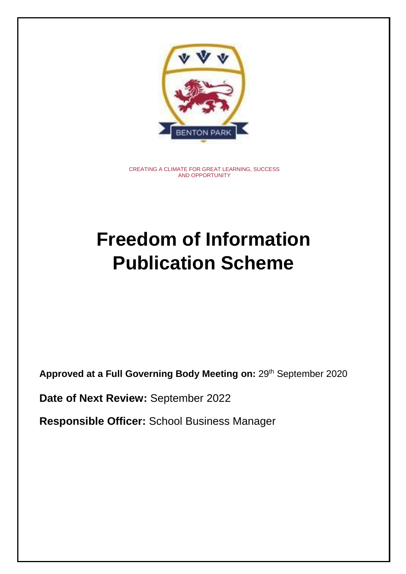

CREATING A CLIMATE FOR GREAT LEARNING, SUCCESS AND OPPORTUNITY

# **Freedom of Information Publication Scheme**

**Approved at a Full Governing Body Meeting on:** 29th September 2020

**Date of Next Review:** September 2022

**Responsible Officer:** School Business Manager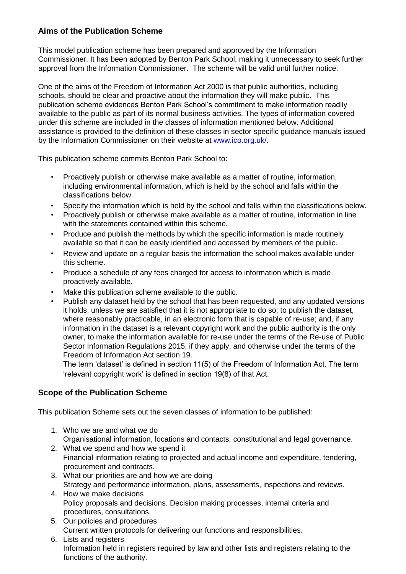### **Aims of the Publication Scheme**

This model publication scheme has been prepared and approved by the Information Commissioner. It has been adopted by Benton Park School, making it unnecessary to seek further approval from the Information Commissioner. The scheme will be valid until further notice.

One of the aims of the Freedom of Information Act 2000 is that public authorities, including schools, should be clear and proactive about the information they will make public. This publication scheme evidences Benton Park School's commitment to make information readily available to the public as part of its normal business activities. The types of information covered under this scheme are included in the classes of information mentioned below. Additional assistance is provided to the definition of these classes in sector specific guidance manuals issued by the Information Commissioner on their website at [www.ico.org.uk/.](http://www.ico.org.uk/)

This publication scheme commits Benton Park School to:

- Proactively publish or otherwise make available as a matter of routine, information, including environmental information, which is held by the school and falls within the classifications below.
- Specify the information which is held by the school and falls within the classifications below.
- Proactively publish or otherwise make available as a matter of routine, information in line with the statements contained within this scheme.
- Produce and publish the methods by which the specific information is made routinely available so that it can be easily identified and accessed by members of the public.
- Review and update on a regular basis the information the school makes available under this scheme.
- Produce a schedule of any fees charged for access to information which is made proactively available.
- Make this publication scheme available to the public.
- Publish any dataset held by the school that has been requested, and any updated versions it holds, unless we are satisfied that it is not appropriate to do so; to publish the dataset, where reasonably practicable, in an electronic form that is capable of re-use; and, if any information in the dataset is a relevant copyright work and the public authority is the only owner, to make the information available for re-use under the terms of the Re-use of Public Sector Information Regulations 2015, if they apply, and otherwise under the terms of the Freedom of Information Act section 19.

The term 'dataset' is defined in section 11(5) of the Freedom of Information Act. The term 'relevant copyright work' is defined in section 19(8) of that Act.

#### **Scope of the Publication Scheme**

This publication Scheme sets out the seven classes of information to be published:

- 1. Who we are and what we do Organisational information, locations and contacts, constitutional and legal governance.
- 2. What we spend and how we spend it Financial information relating to projected and actual income and expenditure, tendering, procurement and contracts.
- 3. What our priorities are and how we are doing Strategy and performance information, plans, assessments, inspections and reviews.
- 4. How we make decisions Policy proposals and decisions. Decision making processes, internal criteria and procedures, consultations.
- 5. Our policies and procedures Current written protocols for delivering our functions and responsibilities.
- 6. Lists and registers Information held in registers required by law and other lists and registers relating to the functions of the authority.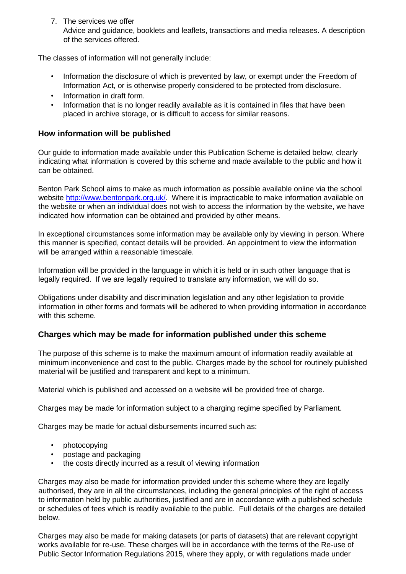7. The services we offer Advice and guidance, booklets and leaflets, transactions and media releases. A description of the services offered.

The classes of information will not generally include:

- Information the disclosure of which is prevented by law, or exempt under the Freedom of Information Act, or is otherwise properly considered to be protected from disclosure.
- Information in draft form.
- Information that is no longer readily available as it is contained in files that have been placed in archive storage, or is difficult to access for similar reasons.

#### **How information will be published**

Our guide to information made available under this Publication Scheme is detailed below, clearly indicating what information is covered by this scheme and made available to the public and how it can be obtained.

Benton Park School aims to make as much information as possible available online via the school website [http://www.bentonpark.org.uk/.](http://www.bentonpark.org.uk/) Where it is impracticable to make information available on the website or when an individual does not wish to access the information by the website, we have indicated how information can be obtained and provided by other means.

In exceptional circumstances some information may be available only by viewing in person. Where this manner is specified, contact details will be provided. An appointment to view the information will be arranged within a reasonable timescale.

Information will be provided in the language in which it is held or in such other language that is legally required. If we are legally required to translate any information, we will do so.

Obligations under disability and discrimination legislation and any other legislation to provide information in other forms and formats will be adhered to when providing information in accordance with this scheme.

#### **Charges which may be made for information published under this scheme**

The purpose of this scheme is to make the maximum amount of information readily available at minimum inconvenience and cost to the public. Charges made by the school for routinely published material will be justified and transparent and kept to a minimum.

Material which is published and accessed on a website will be provided free of charge.

Charges may be made for information subject to a charging regime specified by Parliament.

Charges may be made for actual disbursements incurred such as:

- photocopying
- postage and packaging
- the costs directly incurred as a result of viewing information

Charges may also be made for information provided under this scheme where they are legally authorised, they are in all the circumstances, including the general principles of the right of access to information held by public authorities, justified and are in accordance with a published schedule or schedules of fees which is readily available to the public. Full details of the charges are detailed below.

Charges may also be made for making datasets (or parts of datasets) that are relevant copyright works available for re-use. These charges will be in accordance with the terms of the Re-use of Public Sector Information Regulations 2015, where they apply, or with regulations made under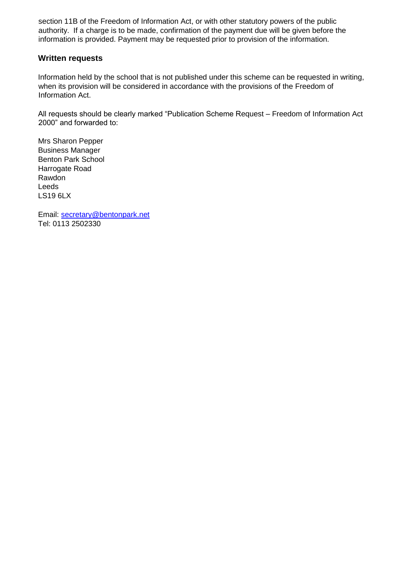section 11B of the Freedom of Information Act, or with other statutory powers of the public authority. If a charge is to be made, confirmation of the payment due will be given before the information is provided. Payment may be requested prior to provision of the information.

#### **Written requests**

Information held by the school that is not published under this scheme can be requested in writing, when its provision will be considered in accordance with the provisions of the Freedom of Information Act.

All requests should be clearly marked "Publication Scheme Request – Freedom of Information Act 2000" and forwarded to:

Mrs Sharon Pepper Business Manager Benton Park School Harrogate Road Rawdon Leeds LS19 6LX

Email: secretary@bentonpark.net Tel: 0113 2502330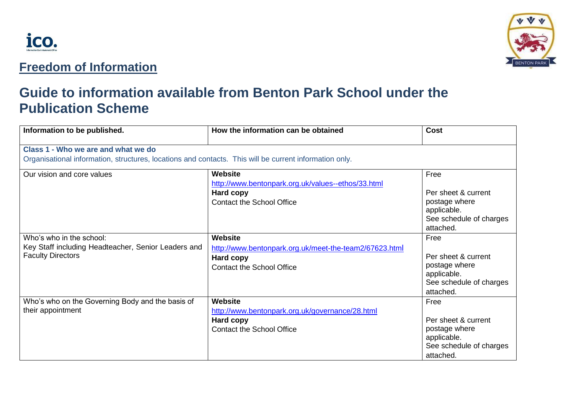





# **Guide to information available from Benton Park School under the Publication Scheme**

| Information to be published.                                                                                                                  | How the information can be obtained                                                                                          | <b>Cost</b>                                                                                         |
|-----------------------------------------------------------------------------------------------------------------------------------------------|------------------------------------------------------------------------------------------------------------------------------|-----------------------------------------------------------------------------------------------------|
| Class 1 - Who we are and what we do<br>Organisational information, structures, locations and contacts. This will be current information only. |                                                                                                                              |                                                                                                     |
| Our vision and core values                                                                                                                    | <b>Website</b><br>http://www.bentonpark.org.uk/values--ethos/33.html<br><b>Hard copy</b><br><b>Contact the School Office</b> | Free<br>Per sheet & current<br>postage where<br>applicable.<br>See schedule of charges<br>attached. |
| Who's who in the school:<br>Key Staff including Headteacher, Senior Leaders and<br><b>Faculty Directors</b>                                   | <b>Website</b><br>http://www.bentonpark.org.uk/meet-the-team2/67623.html<br>Hard copy<br><b>Contact the School Office</b>    | Free<br>Per sheet & current<br>postage where<br>applicable.<br>See schedule of charges<br>attached. |
| Who's who on the Governing Body and the basis of<br>their appointment                                                                         | <b>Website</b><br>http://www.bentonpark.org.uk/governance/28.html<br><b>Hard copy</b><br><b>Contact the School Office</b>    | Free<br>Per sheet & current<br>postage where<br>applicable.<br>See schedule of charges<br>attached. |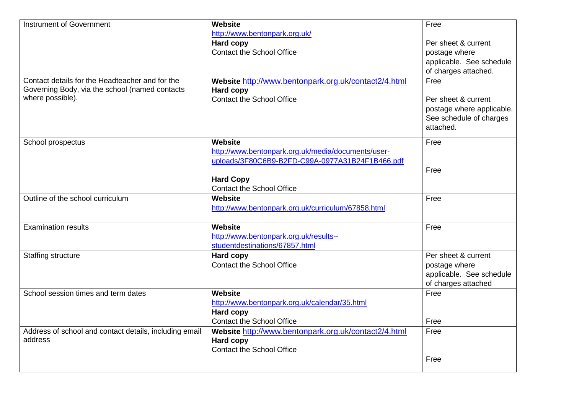| Instrument of Government                               | Website                                              | Free                      |
|--------------------------------------------------------|------------------------------------------------------|---------------------------|
|                                                        | http://www.bentonpark.org.uk/                        |                           |
|                                                        | <b>Hard copy</b>                                     | Per sheet & current       |
|                                                        | <b>Contact the School Office</b>                     | postage where             |
|                                                        |                                                      | applicable. See schedule  |
|                                                        |                                                      | of charges attached.      |
| Contact details for the Headteacher and for the        | Website http://www.bentonpark.org.uk/contact2/4.html | Free                      |
| Governing Body, via the school (named contacts         | Hard copy                                            |                           |
| where possible).                                       | <b>Contact the School Office</b>                     | Per sheet & current       |
|                                                        |                                                      | postage where applicable. |
|                                                        |                                                      | See schedule of charges   |
|                                                        |                                                      | attached.                 |
| School prospectus                                      | Website                                              | Free                      |
|                                                        | http://www.bentonpark.org.uk/media/documents/user-   |                           |
|                                                        | uploads/3F80C6B9-B2FD-C99A-0977A31B24F1B466.pdf      |                           |
|                                                        |                                                      | Free                      |
|                                                        | <b>Hard Copy</b>                                     |                           |
|                                                        | <b>Contact the School Office</b>                     |                           |
| Outline of the school curriculum                       | Website                                              | Free                      |
|                                                        | http://www.bentonpark.org.uk/curriculum/67858.html   |                           |
|                                                        |                                                      |                           |
| <b>Examination results</b>                             | Website                                              | Free                      |
|                                                        | http://www.bentonpark.org.uk/results--               |                           |
|                                                        | studentdestinations/67857.html                       |                           |
| <b>Staffing structure</b>                              | <b>Hard copy</b>                                     | Per sheet & current       |
|                                                        | <b>Contact the School Office</b>                     | postage where             |
|                                                        |                                                      | applicable. See schedule  |
|                                                        |                                                      | of charges attached       |
| School session times and term dates                    | Website                                              | Free                      |
|                                                        | http://www.bentonpark.org.uk/calendar/35.html        |                           |
|                                                        | <b>Hard copy</b>                                     |                           |
|                                                        | <b>Contact the School Office</b>                     | Free                      |
| Address of school and contact details, including email | Website http://www.bentonpark.org.uk/contact2/4.html | Free                      |
| address                                                | <b>Hard copy</b>                                     |                           |
|                                                        | <b>Contact the School Office</b>                     |                           |
|                                                        |                                                      | Free                      |
|                                                        |                                                      |                           |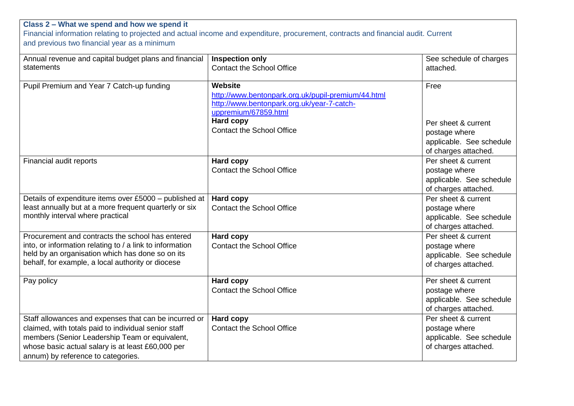| Class 2 – What we spend and how we spend it<br>Financial information relating to projected and actual income and expenditure, procurement, contracts and financial audit. Current<br>and previous two financial year as a minimum                          |                                                                                                                                                                                                    |                                                                                                  |
|------------------------------------------------------------------------------------------------------------------------------------------------------------------------------------------------------------------------------------------------------------|----------------------------------------------------------------------------------------------------------------------------------------------------------------------------------------------------|--------------------------------------------------------------------------------------------------|
| Annual revenue and capital budget plans and financial<br>statements                                                                                                                                                                                        | <b>Inspection only</b><br><b>Contact the School Office</b>                                                                                                                                         | See schedule of charges<br>attached.                                                             |
| Pupil Premium and Year 7 Catch-up funding                                                                                                                                                                                                                  | <b>Website</b><br>http://www.bentonpark.org.uk/pupil-premium/44.html<br>http://www.bentonpark.org.uk/year-7-catch-<br>uppremium/67859.html<br><b>Hard copy</b><br><b>Contact the School Office</b> | Free<br>Per sheet & current<br>postage where<br>applicable. See schedule<br>of charges attached. |
| Financial audit reports                                                                                                                                                                                                                                    | <b>Hard copy</b><br><b>Contact the School Office</b>                                                                                                                                               | Per sheet & current<br>postage where<br>applicable. See schedule<br>of charges attached.         |
| Details of expenditure items over £5000 - published at<br>least annually but at a more frequent quarterly or six<br>monthly interval where practical                                                                                                       | Hard copy<br><b>Contact the School Office</b>                                                                                                                                                      | Per sheet & current<br>postage where<br>applicable. See schedule<br>of charges attached.         |
| Procurement and contracts the school has entered<br>into, or information relating to / a link to information<br>held by an organisation which has done so on its<br>behalf, for example, a local authority or diocese                                      | Hard copy<br><b>Contact the School Office</b>                                                                                                                                                      | Per sheet & current<br>postage where<br>applicable. See schedule<br>of charges attached.         |
| Pay policy                                                                                                                                                                                                                                                 | <b>Hard copy</b><br><b>Contact the School Office</b>                                                                                                                                               | Per sheet & current<br>postage where<br>applicable. See schedule<br>of charges attached.         |
| Staff allowances and expenses that can be incurred or<br>claimed, with totals paid to individual senior staff<br>members (Senior Leadership Team or equivalent,<br>whose basic actual salary is at least £60,000 per<br>annum) by reference to categories. | Hard copy<br><b>Contact the School Office</b>                                                                                                                                                      | Per sheet & current<br>postage where<br>applicable. See schedule<br>of charges attached.         |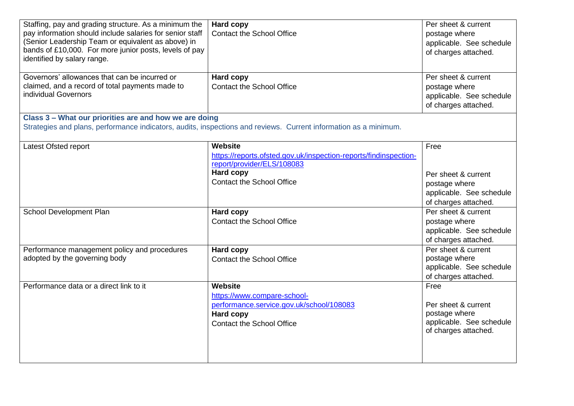| Staffing, pay and grading structure. As a minimum the<br>pay information should include salaries for senior staff<br>(Senior Leadership Team or equivalent as above) in<br>bands of £10,000. For more junior posts, levels of pay<br>identified by salary range.<br>Governors' allowances that can be incurred or<br>claimed, and a record of total payments made to<br>individual Governors | <b>Hard copy</b><br><b>Contact the School Office</b><br><b>Hard copy</b><br><b>Contact the School Office</b>                                                             | Per sheet & current<br>postage where<br>applicable. See schedule<br>of charges attached.<br>Per sheet & current<br>postage where<br>applicable. See schedule<br>of charges attached. |
|----------------------------------------------------------------------------------------------------------------------------------------------------------------------------------------------------------------------------------------------------------------------------------------------------------------------------------------------------------------------------------------------|--------------------------------------------------------------------------------------------------------------------------------------------------------------------------|--------------------------------------------------------------------------------------------------------------------------------------------------------------------------------------|
| Class 3 - What our priorities are and how we are doing<br>Strategies and plans, performance indicators, audits, inspections and reviews. Current information as a minimum.                                                                                                                                                                                                                   |                                                                                                                                                                          |                                                                                                                                                                                      |
| Latest Ofsted report                                                                                                                                                                                                                                                                                                                                                                         | <b>Website</b><br>https://reports.ofsted.gov.uk/inspection-reports/findinspection-<br>report/provider/ELS/108083<br><b>Hard copy</b><br><b>Contact the School Office</b> | Free<br>Per sheet & current<br>postage where<br>applicable. See schedule<br>of charges attached.                                                                                     |
| School Development Plan                                                                                                                                                                                                                                                                                                                                                                      | Hard copy<br><b>Contact the School Office</b>                                                                                                                            | Per sheet & current<br>postage where<br>applicable. See schedule<br>of charges attached.                                                                                             |
| Performance management policy and procedures<br>adopted by the governing body                                                                                                                                                                                                                                                                                                                | Hard copy<br><b>Contact the School Office</b>                                                                                                                            | Per sheet & current<br>postage where<br>applicable. See schedule<br>of charges attached.                                                                                             |
| Performance data or a direct link to it                                                                                                                                                                                                                                                                                                                                                      | <b>Website</b><br>https://www.compare-school-<br>performance.service.gov.uk/school/108083<br>Hard copy<br><b>Contact the School Office</b>                               | Free<br>Per sheet & current<br>postage where<br>applicable. See schedule<br>of charges attached.                                                                                     |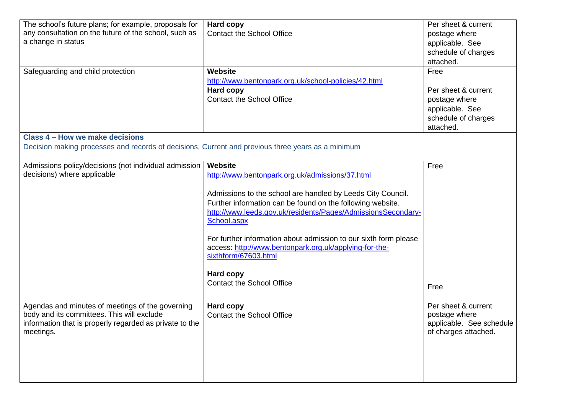| The school's future plans; for example, proposals for<br>any consultation on the future of the school, such as<br>a change in status<br>Safeguarding and child protection | <b>Hard copy</b><br><b>Contact the School Office</b><br><b>Website</b>                                                                                                                                                                                                                                                                                                                                                                                                               | Per sheet & current<br>postage where<br>applicable. See<br>schedule of charges<br>attached.<br>Free |
|---------------------------------------------------------------------------------------------------------------------------------------------------------------------------|--------------------------------------------------------------------------------------------------------------------------------------------------------------------------------------------------------------------------------------------------------------------------------------------------------------------------------------------------------------------------------------------------------------------------------------------------------------------------------------|-----------------------------------------------------------------------------------------------------|
| Class 4 – How we make decisions                                                                                                                                           | http://www.bentonpark.org.uk/school-policies/42.html<br><b>Hard copy</b><br><b>Contact the School Office</b>                                                                                                                                                                                                                                                                                                                                                                         | Per sheet & current<br>postage where<br>applicable. See<br>schedule of charges<br>attached.         |
| Decision making processes and records of decisions. Current and previous three years as a minimum                                                                         |                                                                                                                                                                                                                                                                                                                                                                                                                                                                                      |                                                                                                     |
| Admissions policy/decisions (not individual admission<br>decisions) where applicable                                                                                      | Website<br>http://www.bentonpark.org.uk/admissions/37.html<br>Admissions to the school are handled by Leeds City Council.<br>Further information can be found on the following website.<br>http://www.leeds.gov.uk/residents/Pages/AdmissionsSecondary-<br>School.aspx<br>For further information about admission to our sixth form please<br>access: http://www.bentonpark.org.uk/applying-for-the-<br>sixthform/67603.html<br><b>Hard copy</b><br><b>Contact the School Office</b> | Free<br>Free                                                                                        |
| Agendas and minutes of meetings of the governing<br>body and its committees. This will exclude<br>information that is properly regarded as private to the<br>meetings.    | <b>Hard copy</b><br><b>Contact the School Office</b>                                                                                                                                                                                                                                                                                                                                                                                                                                 | Per sheet & current<br>postage where<br>applicable. See schedule<br>of charges attached.            |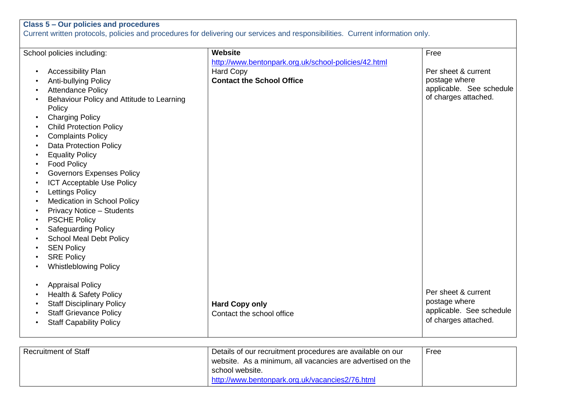## **Class 5 – Our policies and procedures**

Current written protocols, policies and procedures for delivering our services and responsibilities. Current information only.

| School policies including:                          | <b>Website</b>                                       | Free                     |
|-----------------------------------------------------|------------------------------------------------------|--------------------------|
|                                                     | http://www.bentonpark.org.uk/school-policies/42.html |                          |
| <b>Accessibility Plan</b>                           | <b>Hard Copy</b>                                     | Per sheet & current      |
| Anti-bullying Policy                                | <b>Contact the School Office</b>                     | postage where            |
| <b>Attendance Policy</b>                            |                                                      | applicable. See schedule |
| Behaviour Policy and Attitude to Learning<br>Policy |                                                      | of charges attached.     |
| <b>Charging Policy</b>                              |                                                      |                          |
| <b>Child Protection Policy</b>                      |                                                      |                          |
| <b>Complaints Policy</b>                            |                                                      |                          |
| <b>Data Protection Policy</b>                       |                                                      |                          |
| <b>Equality Policy</b>                              |                                                      |                          |
| <b>Food Policy</b>                                  |                                                      |                          |
| <b>Governors Expenses Policy</b>                    |                                                      |                          |
| <b>ICT Acceptable Use Policy</b>                    |                                                      |                          |
| <b>Lettings Policy</b>                              |                                                      |                          |
| Medication in School Policy                         |                                                      |                          |
| <b>Privacy Notice - Students</b>                    |                                                      |                          |
| <b>PSCHE Policy</b>                                 |                                                      |                          |
| <b>Safeguarding Policy</b>                          |                                                      |                          |
| <b>School Meal Debt Policy</b>                      |                                                      |                          |
| <b>SEN Policy</b>                                   |                                                      |                          |
| <b>SRE Policy</b>                                   |                                                      |                          |
| <b>Whistleblowing Policy</b>                        |                                                      |                          |
| <b>Appraisal Policy</b>                             |                                                      |                          |
| <b>Health &amp; Safety Policy</b>                   |                                                      | Per sheet & current      |
| <b>Staff Disciplinary Policy</b>                    | <b>Hard Copy only</b>                                | postage where            |
| <b>Staff Grievance Policy</b>                       | Contact the school office                            | applicable. See schedule |
| <b>Staff Capability Policy</b>                      |                                                      | of charges attached.     |
|                                                     |                                                      |                          |

| <b>Recruitment of Staff</b> | <sup>1</sup> Details of our recruitment procedures are available on our | Free |
|-----------------------------|-------------------------------------------------------------------------|------|
|                             | website. As a minimum, all vacancies are advertised on the              |      |
|                             | school website.                                                         |      |
|                             | http://www.bentonpark.org.uk/vacancies2/76.html                         |      |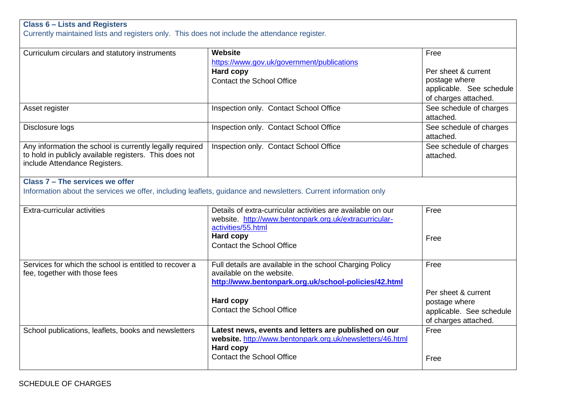| <b>Class 6 - Lists and Registers</b>                                                                                                                |                                                                                                                                               |                                                                                          |
|-----------------------------------------------------------------------------------------------------------------------------------------------------|-----------------------------------------------------------------------------------------------------------------------------------------------|------------------------------------------------------------------------------------------|
| Currently maintained lists and registers only. This does not include the attendance register.                                                       |                                                                                                                                               |                                                                                          |
| Curriculum circulars and statutory instruments                                                                                                      | <b>Website</b>                                                                                                                                | Free                                                                                     |
|                                                                                                                                                     | https://www.gov.uk/government/publications                                                                                                    |                                                                                          |
|                                                                                                                                                     | <b>Hard copy</b><br><b>Contact the School Office</b>                                                                                          | Per sheet & current<br>postage where<br>applicable. See schedule<br>of charges attached. |
| Asset register                                                                                                                                      | Inspection only. Contact School Office                                                                                                        | See schedule of charges<br>attached.                                                     |
| Disclosure logs                                                                                                                                     | Inspection only. Contact School Office                                                                                                        | See schedule of charges<br>attached.                                                     |
| Any information the school is currently legally required<br>to hold in publicly available registers. This does not<br>include Attendance Registers. | Inspection only. Contact School Office                                                                                                        | See schedule of charges<br>attached.                                                     |
| Class 7 - The services we offer<br>Information about the services we offer, including leaflets, guidance and newsletters. Current information only  |                                                                                                                                               |                                                                                          |
| Extra-curricular activities                                                                                                                         | Details of extra-curricular activities are available on our<br>website. http://www.bentonpark.org.uk/extracurricular-<br>activities/55.html   | Free                                                                                     |
|                                                                                                                                                     | <b>Hard copy</b><br><b>Contact the School Office</b>                                                                                          | Free                                                                                     |
| Services for which the school is entitled to recover a<br>fee, together with those fees                                                             | Full details are available in the school Charging Policy<br>available on the website.<br>http://www.bentonpark.org.uk/school-policies/42.html | Free                                                                                     |
|                                                                                                                                                     |                                                                                                                                               | Per sheet & current                                                                      |
|                                                                                                                                                     | <b>Hard copy</b>                                                                                                                              | postage where                                                                            |
|                                                                                                                                                     | <b>Contact the School Office</b>                                                                                                              | applicable. See schedule<br>of charges attached.                                         |
| School publications, leaflets, books and newsletters                                                                                                | Latest news, events and letters are published on our<br>website. http://www.bentonpark.org.uk/newsletters/46.html<br><b>Hard copy</b>         | Free                                                                                     |
|                                                                                                                                                     | <b>Contact the School Office</b>                                                                                                              | Free                                                                                     |